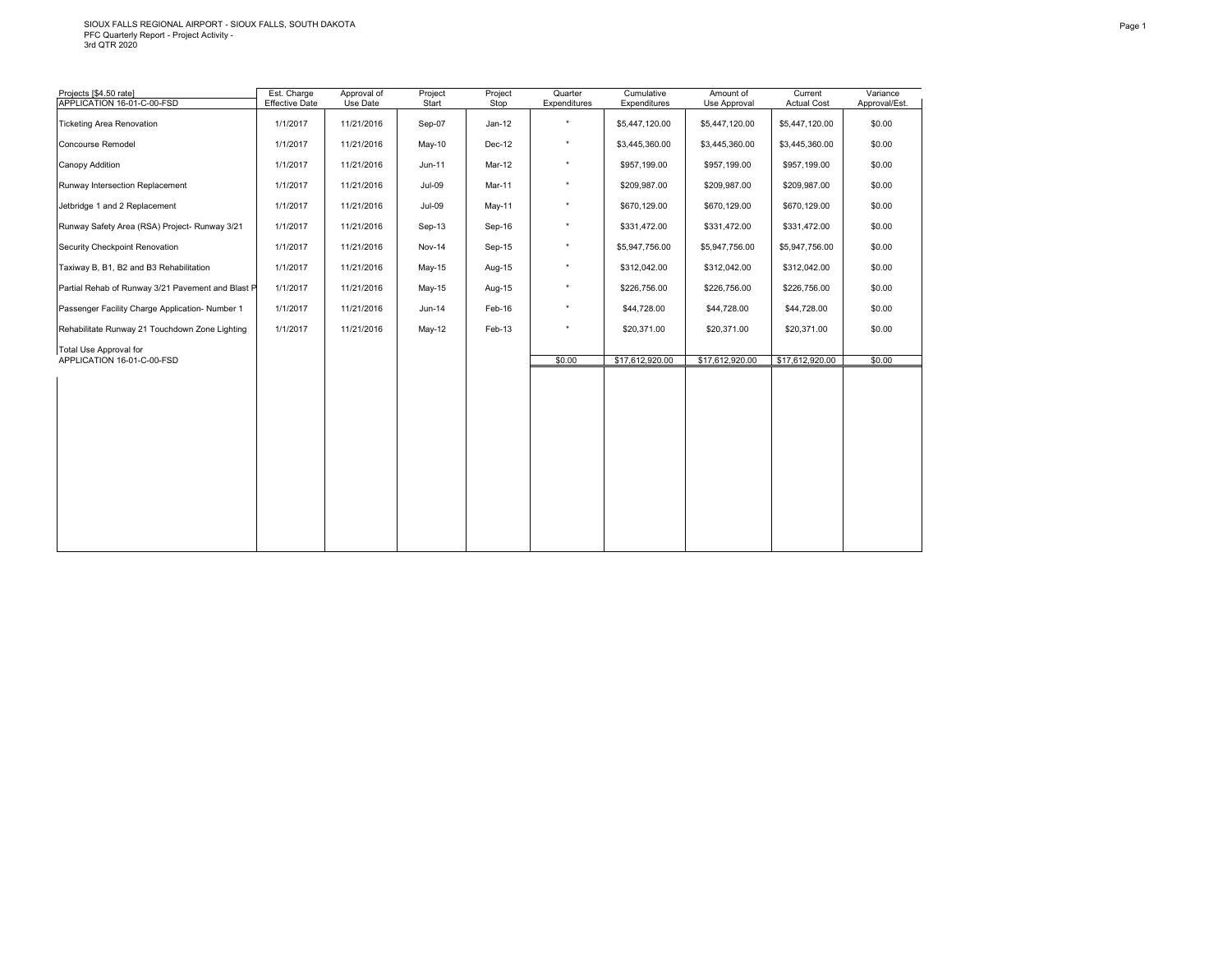| Projects [\$4.50 rate]<br>APPLICATION 16-01-C-00-FSD | Est. Charge<br><b>Effective Date</b> | Approval of<br>Use Date | Project<br>Start | Project<br>Stop | Quarter<br>Expenditures | Cumulative<br>Expenditures | Amount of<br>Use Approval | Current<br><b>Actual Cost</b> | Variance<br>Approval/Est. |
|------------------------------------------------------|--------------------------------------|-------------------------|------------------|-----------------|-------------------------|----------------------------|---------------------------|-------------------------------|---------------------------|
| <b>Ticketing Area Renovation</b>                     | 1/1/2017                             | 11/21/2016              | Sep-07           | $Jan-12$        | $\star$                 | \$5,447,120.00             | \$5,447,120.00            | \$5,447,120.00                | \$0.00                    |
| Concourse Remodel                                    | 1/1/2017                             | 11/21/2016              | May-10           | Dec-12          | $^\star$                | \$3,445,360.00             | \$3,445,360.00            | \$3,445,360.00                | \$0.00                    |
| Canopy Addition                                      | 1/1/2017                             | 11/21/2016              | Jun-11           | Mar-12          | $^\star$                | \$957,199.00               | \$957,199.00              | \$957,199.00                  | \$0.00                    |
| Runway Intersection Replacement                      | 1/1/2017                             | 11/21/2016              | $Jul-09$         | Mar-11          | $^\star$                | \$209,987.00               | \$209,987.00              | \$209,987.00                  | \$0.00                    |
|                                                      |                                      |                         |                  |                 | $^\star$                |                            |                           |                               |                           |
| Jetbridge 1 and 2 Replacement                        | 1/1/2017                             | 11/21/2016              | $Jul-09$         | May-11          |                         | \$670,129.00               | \$670,129.00              | \$670,129.00                  | \$0.00                    |
| Runway Safety Area (RSA) Project- Runway 3/21        | 1/1/2017                             | 11/21/2016              | Sep-13           | Sep-16          | $\star$                 | \$331,472.00               | \$331,472.00              | \$331,472.00                  | \$0.00                    |
| Security Checkpoint Renovation                       | 1/1/2017                             | 11/21/2016              | Nov-14           | Sep-15          | $\star$                 | \$5,947,756.00             | \$5,947,756.00            | \$5,947,756.00                | \$0.00                    |
| Taxiway B, B1, B2 and B3 Rehabilitation              | 1/1/2017                             | 11/21/2016              | $May-15$         | Aug-15          | $^\star$                | \$312,042.00               | \$312,042.00              | \$312,042.00                  | \$0.00                    |
| Partial Rehab of Runway 3/21 Pavement and Blast P    | 1/1/2017                             | 11/21/2016              | May-15           | Aug-15          | $^\star$                | \$226,756.00               | \$226,756.00              | \$226,756.00                  | \$0.00                    |
| Passenger Facility Charge Application-Number 1       | 1/1/2017                             | 11/21/2016              | Jun-14           | Feb-16          | $^\star$                | \$44,728.00                | \$44,728.00               | \$44,728.00                   | \$0.00                    |
| Rehabilitate Runway 21 Touchdown Zone Lighting       | 1/1/2017                             | 11/21/2016              | May-12           | Feb-13          | $^\star$                | \$20,371.00                | \$20,371.00               | \$20,371.00                   | \$0.00                    |
| Total Use Approval for                               |                                      |                         |                  |                 |                         |                            |                           |                               |                           |
| APPLICATION 16-01-C-00-FSD                           |                                      |                         |                  |                 | \$0.00                  | \$17,612,920.00            | \$17,612,920.00           | \$17,612,920.00               | \$0.00                    |
|                                                      |                                      |                         |                  |                 |                         |                            |                           |                               |                           |
|                                                      |                                      |                         |                  |                 |                         |                            |                           |                               |                           |
|                                                      |                                      |                         |                  |                 |                         |                            |                           |                               |                           |
|                                                      |                                      |                         |                  |                 |                         |                            |                           |                               |                           |
|                                                      |                                      |                         |                  |                 |                         |                            |                           |                               |                           |
|                                                      |                                      |                         |                  |                 |                         |                            |                           |                               |                           |
|                                                      |                                      |                         |                  |                 |                         |                            |                           |                               |                           |
|                                                      |                                      |                         |                  |                 |                         |                            |                           |                               |                           |
|                                                      |                                      |                         |                  |                 |                         |                            |                           |                               |                           |
|                                                      |                                      |                         |                  |                 |                         |                            |                           |                               |                           |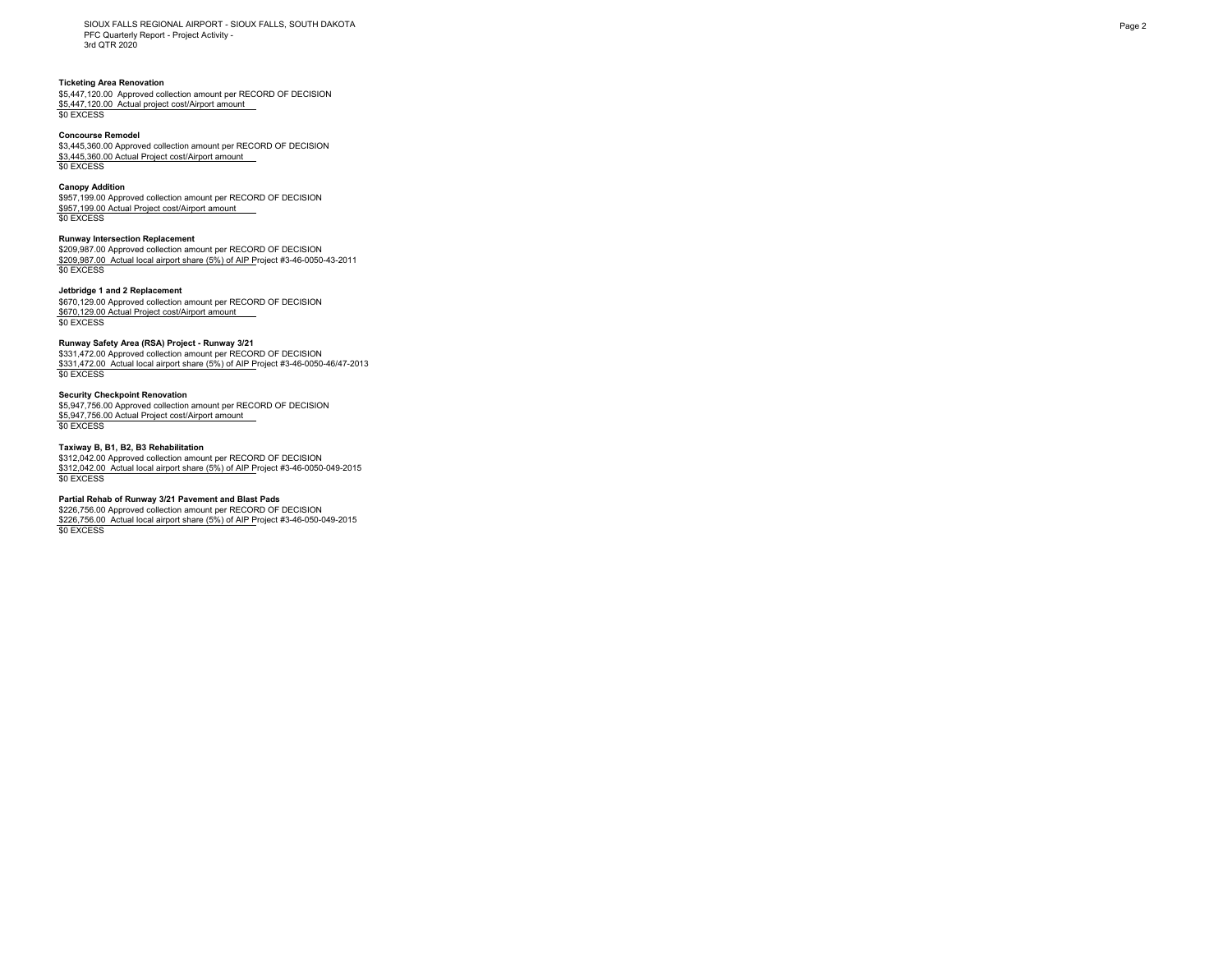SIOUX FALLS REGIONAL AIRPORT - SIOUX FALLS, SOUTH DAKOTA PFC Quarterly Report - Project Activity - 3rd QTR 2020

### **Ticketing Area Renovation**

\$5,447,120.00 Approved collection amount per RECORD OF DECISION \$5,447,120.00 Actual project cost/Airport amount \$0 EXCESS

#### **Concourse Remodel**

\$3,445,360.00 Approved collection amount per RECORD OF DECISION \$3,445,360.00 Actual Project cost/Airport amount \$0 EXCESS

#### **Canopy Addition**

\$957,199.00 Approved collection amount per RECORD OF DECISION \$957,199.00 Actual Project cost/Airport amount \$0 EXCESS

# **Runway Intersection Replacement**

\$209,987.00 Approved collection amount per RECORD OF DECISION \$209,987.00 Actual local airport share (5%) of AIP Project #3-46-0050-43-2011 \$0 EXCESS

## **Jetbridge 1 and 2 Replacement**

\$670,129.00 Approved collection amount per RECORD OF DECISION \$670,129.00 Actual Project cost/Airport amount \$0 EXCESS

#### **Runway Safety Area (RSA) Project - Runway 3/21**

\$331,472.00 Approved collection amount per RECORD OF DECISION \$331,472.00 Actual local airport share (5%) of AIP Project #3-46-0050-46/47-2013 \$0 EXCESS

## **Security Checkpoint Renovation**

\$5,947,756.00 Approved collection amount per RECORD OF DECISION \$5,947,756.00 Actual Project cost/Airport amount \$0 EXCESS

## **Taxiway B, B1, B2, B3 Rehabilitation**

\$312,042.00 Approved collection amount per RECORD OF DECISION \$312,042.00 Actual local airport share (5%) of AIP Project #3-46-0050-049-2015 \$0 EXCESS

### **Partial Rehab of Runway 3/21 Pavement and Blast Pads**

\$226,756.00 Approved collection amount per RECORD OF DECISION \$226,756.00 Actual local airport share (5%) of AIP Project #3-46-050-049-2015 \$0 EXCESS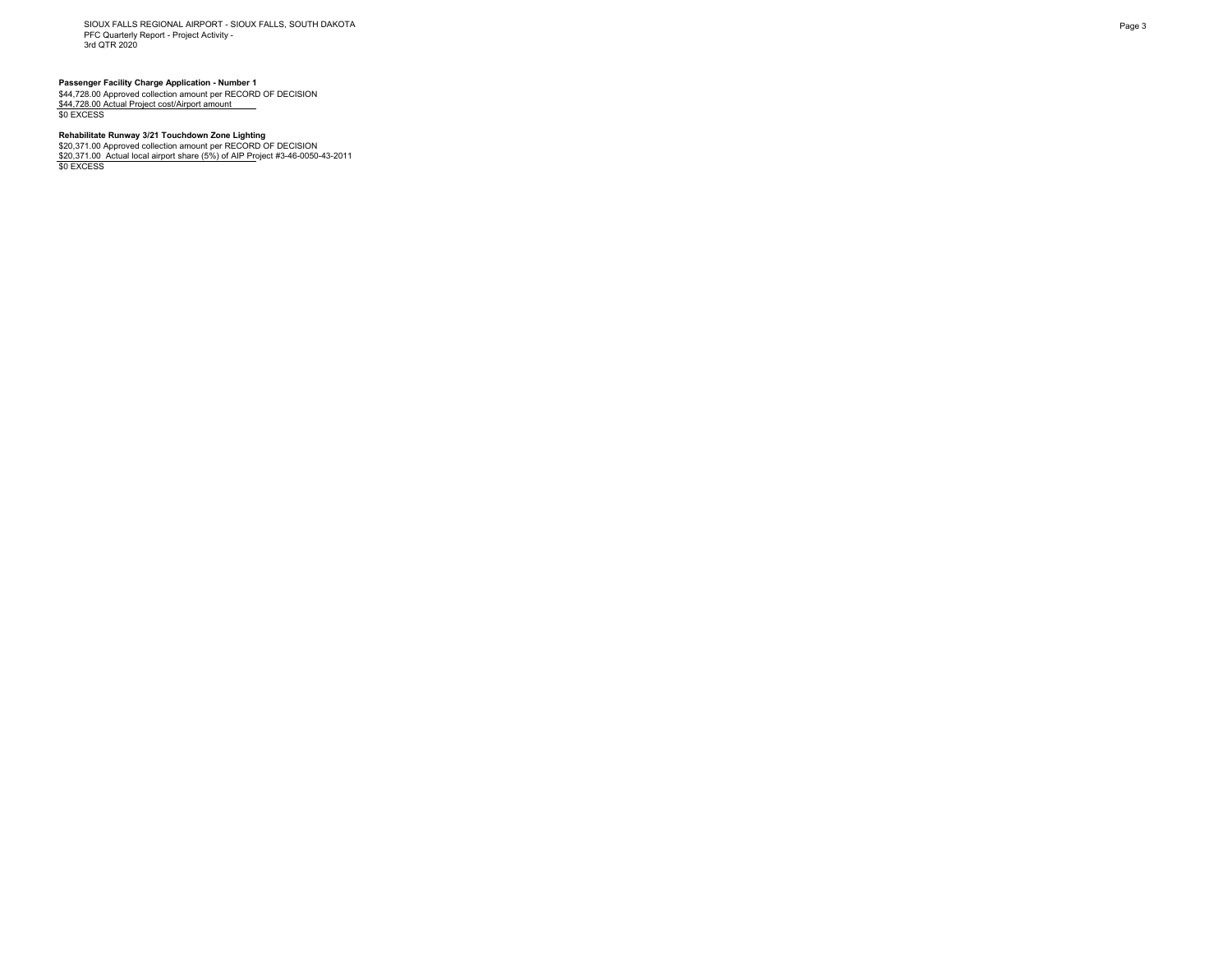SIOUX FALLS REGIONAL AIRPORT - SIOUX FALLS, SOUTH DAKOTA PFC Quarterly Report - Project Activity - 3rd QTR 2020

**Passenger Facility Charge Application - Number 1<br>\$44,728.00 Approved collection amount per RECORD OF DECISION<br><u>\$44,728.00 Actual Project cost/Airport amount \_\_\_</u><br>\$0 EXCESS** 

# **Rehabilitate Runway 3/21 Touchdown Zone Lighting**

\$20,371.00 Approved collection amount per RECORD OF DECISION<br><u>\$20,371.00\_Actual local airport share (5%) of AIP Pr</u>oject #3-46-0050-43-2011<br>\$0 EXCESS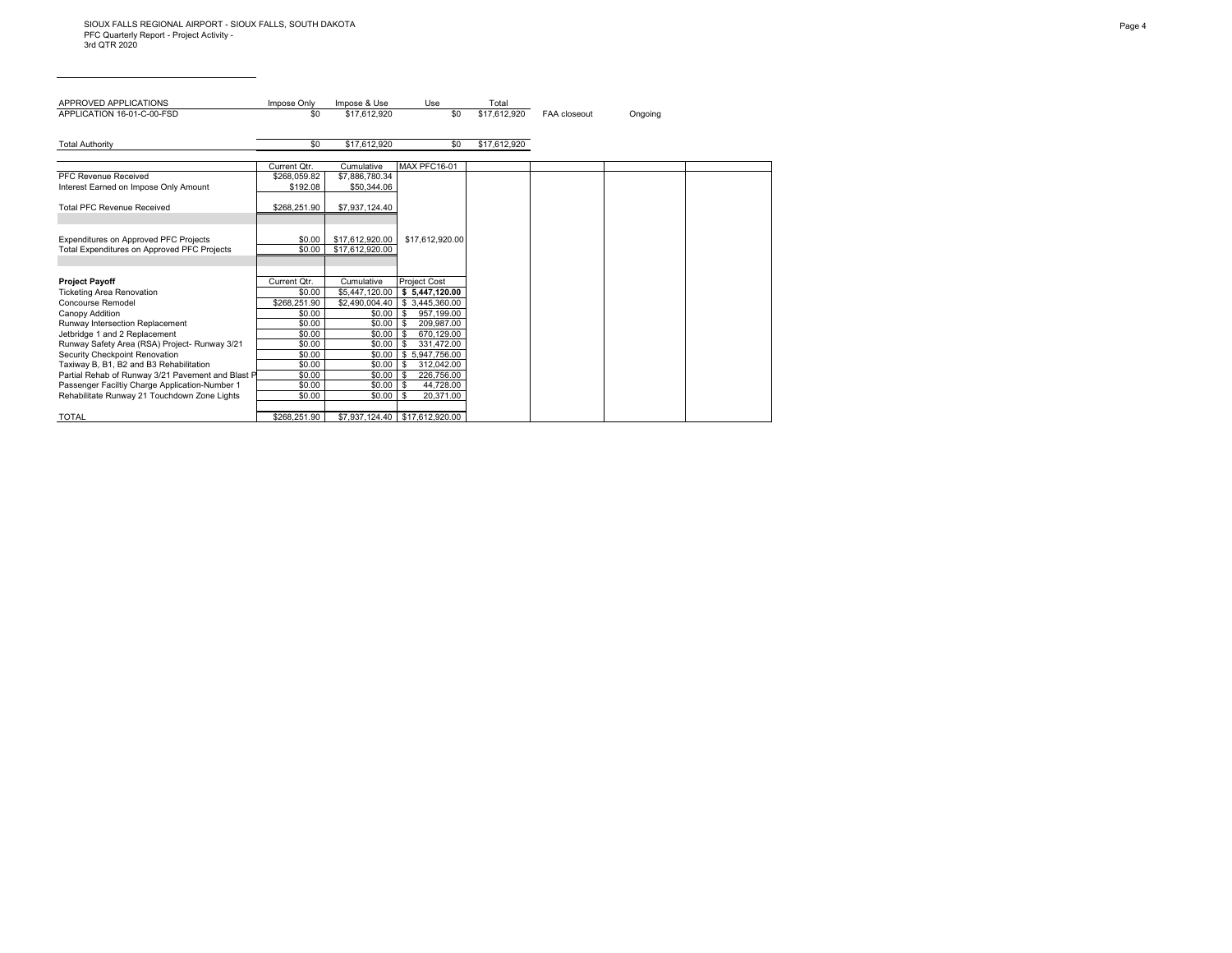| APPROVED APPLICATIONS                                                                          | Impose Only      | Impose & Use     | Use                                    | Total        |                     |         |
|------------------------------------------------------------------------------------------------|------------------|------------------|----------------------------------------|--------------|---------------------|---------|
| APPLICATION 16-01-C-00-FSD                                                                     | \$0              | \$17.612.920     | \$0                                    | \$17.612.920 | <b>FAA</b> closeout | Ongoing |
|                                                                                                |                  |                  |                                        |              |                     |         |
| <b>Total Authority</b>                                                                         | \$0              | \$17,612,920     | \$0                                    | \$17,612,920 |                     |         |
|                                                                                                |                  |                  |                                        |              |                     |         |
|                                                                                                | Current Qtr.     | Cumulative       | <b>MAX PFC16-01</b>                    |              |                     |         |
| PFC Revenue Received                                                                           | \$268.059.82     | \$7,886,780.34   |                                        |              |                     |         |
| Interest Earned on Impose Only Amount                                                          | \$192.08         | \$50,344.06      |                                        |              |                     |         |
|                                                                                                |                  |                  |                                        |              |                     |         |
| <b>Total PFC Revenue Received</b>                                                              | \$268,251.90     | \$7,937,124.40   |                                        |              |                     |         |
|                                                                                                |                  |                  |                                        |              |                     |         |
| Expenditures on Approved PFC Projects                                                          | \$0.00           | \$17,612,920.00  | \$17,612,920.00                        |              |                     |         |
| Total Expenditures on Approved PFC Projects                                                    | \$0.00           | \$17.612.920.00  |                                        |              |                     |         |
|                                                                                                |                  |                  |                                        |              |                     |         |
|                                                                                                |                  |                  |                                        |              |                     |         |
| <b>Project Payoff</b>                                                                          | Current Otr.     | Cumulative       | <b>Project Cost</b>                    |              |                     |         |
| <b>Ticketing Area Renovation</b>                                                               | \$0.00           | \$5,447,120.00   | \$5,447,120.00                         |              |                     |         |
| Concourse Remodel                                                                              | \$268.251.90     | \$2.490.004.40   | \$3.445.360.00                         |              |                     |         |
| Canopy Addition                                                                                | \$0.00           | \$0.00           | 957,199.00<br><b>S</b>                 |              |                     |         |
| Runway Intersection Replacement                                                                | \$0.00           | \$0.00           | 209.987.00<br>- \$                     |              |                     |         |
| Jetbridge 1 and 2 Replacement                                                                  | \$0.00           | \$0.00           | 670,129.00<br>- \$                     |              |                     |         |
| Runway Safety Area (RSA) Project- Runway 3/21                                                  | \$0.00           | \$0.00           | 331.472.00<br>- \$                     |              |                     |         |
| Security Checkpoint Renovation                                                                 | \$0.00           | \$0.00           | \$5,947,756.00                         |              |                     |         |
| Taxiway B, B1, B2 and B3 Rehabilitation                                                        | \$0.00           | \$0.00           | - \$<br>312,042.00                     |              |                     |         |
| Partial Rehab of Runway 3/21 Pavement and Blast P                                              | \$0.00           | \$0.00           | 226,756.00<br>-S                       |              |                     |         |
| Passenger Faciltiy Charge Application-Number 1<br>Rehabilitate Runway 21 Touchdown Zone Lights | \$0.00<br>\$0.00 | \$0.00<br>\$0.00 | 44,728.00<br>- \$<br>20,371.00<br>l \$ |              |                     |         |
|                                                                                                |                  |                  |                                        |              |                     |         |
| <b>TOTAL</b>                                                                                   | \$268.251.90     |                  | \$7.937.124.40 \$17.612.920.00         |              |                     |         |